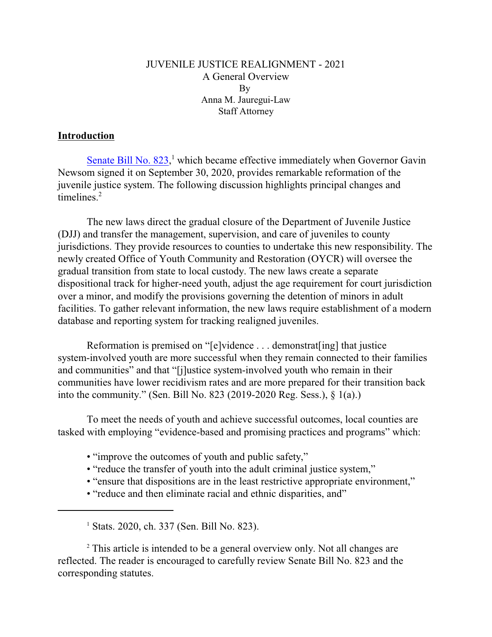### JUVENILE JUSTICE REALIGNMENT - 2021 A General Overview By Anna M. Jauregui-Law Staff Attorney

#### **Introduction**

Senate Bill No.  $823$ ,<sup>1</sup> which became effective immediately when Governor Gavin Newsom signed it on September 30, 2020, provides remarkable reformation of the juvenile justice system. The following discussion highlights principal changes and timelines. $2$ 

The new laws direct the gradual closure of the Department of Juvenile Justice (DJJ) and transfer the management, supervision, and care of juveniles to county jurisdictions. They provide resources to counties to undertake this new responsibility. The newly created Office of Youth Community and Restoration (OYCR) will oversee the gradual transition from state to local custody. The new laws create a separate dispositional track for higher-need youth, adjust the age requirement for court jurisdiction over a minor, and modify the provisions governing the detention of minors in adult facilities. To gather relevant information, the new laws require establishment of a modern database and reporting system for tracking realigned juveniles.

Reformation is premised on "[e]vidence . . . demonstrat[ing] that justice system-involved youth are more successful when they remain connected to their families and communities" and that "[j]ustice system-involved youth who remain in their communities have lower recidivism rates and are more prepared for their transition back into the community." (Sen. Bill No. 823 (2019-2020 Reg. Sess.), § 1(a).)

To meet the needs of youth and achieve successful outcomes, local counties are tasked with employing "evidence-based and promising practices and programs" which:

- "improve the outcomes of youth and public safety,"
- "reduce the transfer of youth into the adult criminal justice system,"
- "ensure that dispositions are in the least restrictive appropriate environment,"
- "reduce and then eliminate racial and ethnic disparities, and"

1 Stats. 2020, ch. 337 (Sen. Bill No. 823).

<sup>2</sup> This article is intended to be a general overview only. Not all changes are reflected. The reader is encouraged to carefully review Senate Bill No. 823 and the corresponding statutes.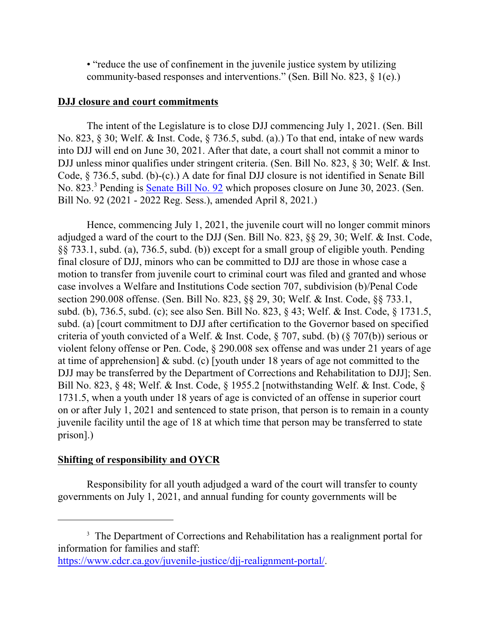• "reduce the use of confinement in the juvenile justice system by utilizing community-based responses and interventions." (Sen. Bill No. 823, § 1(e).)

#### **DJJ closure and court commitments**

The intent of the Legislature is to close DJJ commencing July 1, 2021. (Sen. Bill No. 823, § 30; Welf. & Inst. Code, § 736.5, subd. (a).) To that end, intake of new wards into DJJ will end on June 30, 2021. After that date, a court shall not commit a minor to DJJ unless minor qualifies under stringent criteria. (Sen. Bill No. 823, § 30; Welf. & Inst. Code, § 736.5, subd. (b)-(c).) A date for final DJJ closure is not identified in Senate Bill No. 823.<sup>3</sup> Pending is **Senate Bill No. 92** which proposes closure on June 30, 2023. (Sen. Bill No. 92 (2021 - 2022 Reg. Sess.), amended April 8, 2021.)

Hence, commencing July 1, 2021, the juvenile court will no longer commit minors adjudged a ward of the court to the DJJ (Sen. Bill No. 823, §§ 29, 30; Welf. & Inst. Code, §§ 733.1, subd. (a), 736.5, subd. (b)) except for a small group of eligible youth. Pending final closure of DJJ, minors who can be committed to DJJ are those in whose case a motion to transfer from juvenile court to criminal court was filed and granted and whose case involves a Welfare and Institutions Code section 707, subdivision (b)/Penal Code section 290.008 offense. (Sen. Bill No. 823, §§ 29, 30; Welf. & Inst. Code, §§ 733.1, subd. (b), 736.5, subd. (c); see also Sen. Bill No. 823, § 43; Welf. & Inst. Code, § 1731.5, subd. (a) [court commitment to DJJ after certification to the Governor based on specified criteria of youth convicted of a Welf. & Inst. Code, § 707, subd. (b) (§ 707(b)) serious or violent felony offense or Pen. Code, § 290.008 sex offense and was under 21 years of age at time of apprehension] & subd. (c) [youth under 18 years of age not committed to the DJJ may be transferred by the Department of Corrections and Rehabilitation to DJJ]; Sen. Bill No. 823, § 48; Welf. & Inst. Code, § 1955.2 [notwithstanding Welf. & Inst. Code, § 1731.5, when a youth under 18 years of age is convicted of an offense in superior court on or after July 1, 2021 and sentenced to state prison, that person is to remain in a county juvenile facility until the age of 18 at which time that person may be transferred to state prison].)

#### **Shifting of responsibility and OYCR**

Responsibility for all youth adjudged a ward of the court will transfer to county governments on July 1, 2021, and annual funding for county governments will be

<sup>&</sup>lt;sup>3</sup> The Department of Corrections and Rehabilitation has a realignment portal for information for families and staff:

<https://www.cdcr.ca.gov/juvenile-justice/djj-realignment-portal/>.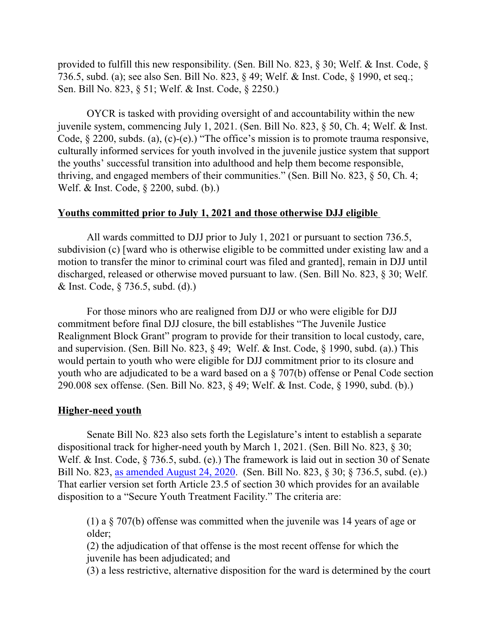provided to fulfill this new responsibility. (Sen. Bill No. 823, § 30; Welf. & Inst. Code, § 736.5, subd. (a); see also Sen. Bill No. 823, § 49; Welf. & Inst. Code, § 1990, et seq.; Sen. Bill No. 823, § 51; Welf. & Inst. Code, § 2250.)

OYCR is tasked with providing oversight of and accountability within the new juvenile system, commencing July 1, 2021. (Sen. Bill No. 823, § 50, Ch. 4; Welf. & Inst. Code, § 2200, subds. (a), (c)-(e).) "The office's mission is to promote trauma responsive, culturally informed services for youth involved in the juvenile justice system that support the youths' successful transition into adulthood and help them become responsible, thriving, and engaged members of their communities." (Sen. Bill No. 823, § 50, Ch. 4; Welf. & Inst. Code, § 2200, subd. (b).)

#### **Youths committed prior to July 1, 2021 and those otherwise DJJ eligible**

All wards committed to DJJ prior to July 1, 2021 or pursuant to section 736.5, subdivision (c) [ward who is otherwise eligible to be committed under existing law and a motion to transfer the minor to criminal court was filed and granted], remain in DJJ until discharged, released or otherwise moved pursuant to law. (Sen. Bill No. 823, § 30; Welf. & Inst. Code, § 736.5, subd. (d).)

For those minors who are realigned from DJJ or who were eligible for DJJ commitment before final DJJ closure, the bill establishes "The Juvenile Justice Realignment Block Grant" program to provide for their transition to local custody, care, and supervision. (Sen. Bill No. 823, § 49; Welf. & Inst. Code, § 1990, subd. (a).) This would pertain to youth who were eligible for DJJ commitment prior to its closure and youth who are adjudicated to be a ward based on a § 707(b) offense or Penal Code section 290.008 sex offense. (Sen. Bill No. 823, § 49; Welf. & Inst. Code, § 1990, subd. (b).)

# **Higher-need youth**

Senate Bill No. 823 also sets forth the Legislature's intent to establish a separate dispositional track for higher-need youth by March 1, 2021. (Sen. Bill No. 823, § 30; Welf. & Inst. Code, § 736.5, subd. (e).) The framework is laid out in section 30 of Senate Bill No. 823, [as amended August 24, 2020](https://leginfo.legislature.ca.gov/faces/billTextClient.xhtml?bill_id=201920200SB823). (Sen. Bill No. 823, § 30; § 736.5, subd. (e).) That earlier version set forth Article 23.5 of section 30 which provides for an available disposition to a "Secure Youth Treatment Facility." The criteria are:

(1) a § 707(b) offense was committed when the juvenile was 14 years of age or older;

(2) the adjudication of that offense is the most recent offense for which the juvenile has been adjudicated; and

(3) a less restrictive, alternative disposition for the ward is determined by the court